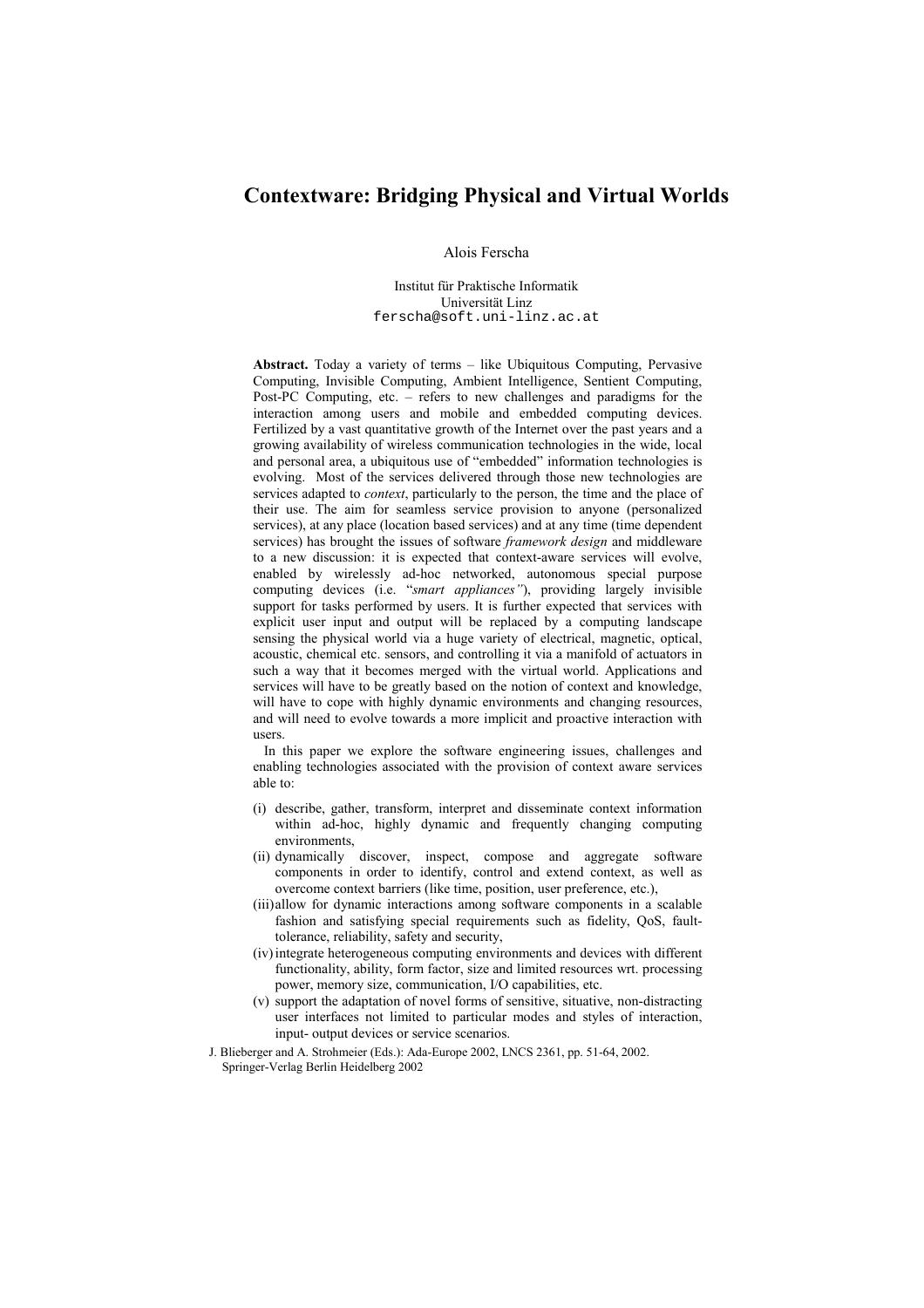# **Contextware: Bridging Physical and Virtual Worlds**

Alois Ferscha

Institut für Praktische Informatik Universit‰t Linz ferscha@soft.uni-linz.ac.at

**Abstract.** Today a variety of terms – like Ubiquitous Computing, Pervasive Computing, Invisible Computing, Ambient Intelligence, Sentient Computing, Post-PC Computing, etc.  $-$  refers to new challenges and paradigms for the interaction among users and mobile and embedded computing devices. Fertilized by a vast quantitative growth of the Internet over the past years and a growing availability of wireless communication technologies in the wide, local and personal area, a ubiquitous use of "embedded" information technologies is evolving. Most of the services delivered through those new technologies are services adapted to *context*, particularly to the person, the time and the place of their use. The aim for seamless service provision to anyone (personalized services), at any place (location based services) and at any time (time dependent services) has brought the issues of software *framework design* and middleware to a new discussion: it is expected that context-aware services will evolve, enabled by wirelessly ad-hoc networked, autonomous special purpose computing devices (i.e. "smart appliances"), providing largely invisible support for tasks performed by users. It is further expected that services with explicit user input and output will be replaced by a computing landscape sensing the physical world via a huge variety of electrical, magnetic, optical, acoustic, chemical etc. sensors, and controlling it via a manifold of actuators in such a way that it becomes merged with the virtual world. Applications and services will have to be greatly based on the notion of context and knowledge, will have to cope with highly dynamic environments and changing resources, and will need to evolve towards a more implicit and proactive interaction with users.

In this paper we explore the software engineering issues, challenges and enabling technologies associated with the provision of context aware services able to:

- (i) describe, gather, transform, interpret and disseminate context information within ad-hoc, highly dynamic and frequently changing computing environments,
- (ii) dynamically discover, inspect, compose and aggregate software components in order to identify, control and extend context, as well as overcome context barriers (like time, position, user preference, etc.),
- (iii)allow for dynamic interactions among software components in a scalable fashion and satisfying special requirements such as fidelity, QoS, faulttolerance, reliability, safety and security,
- (iv)integrate heterogeneous computing environments and devices with different functionality, ability, form factor, size and limited resources wrt. processing power, memory size, communication, I/O capabilities, etc.
- (v) support the adaptation of novel forms of sensitive, situative, non-distracting user interfaces not limited to particular modes and styles of interaction, input- output devices or service scenarios.

J. Blieberger and A. Strohmeier (Eds.): Ada-Europe 2002, LNCS 2361, pp. 51-64, 2002.

Springer-Verlag Berlin Heidelberg 2002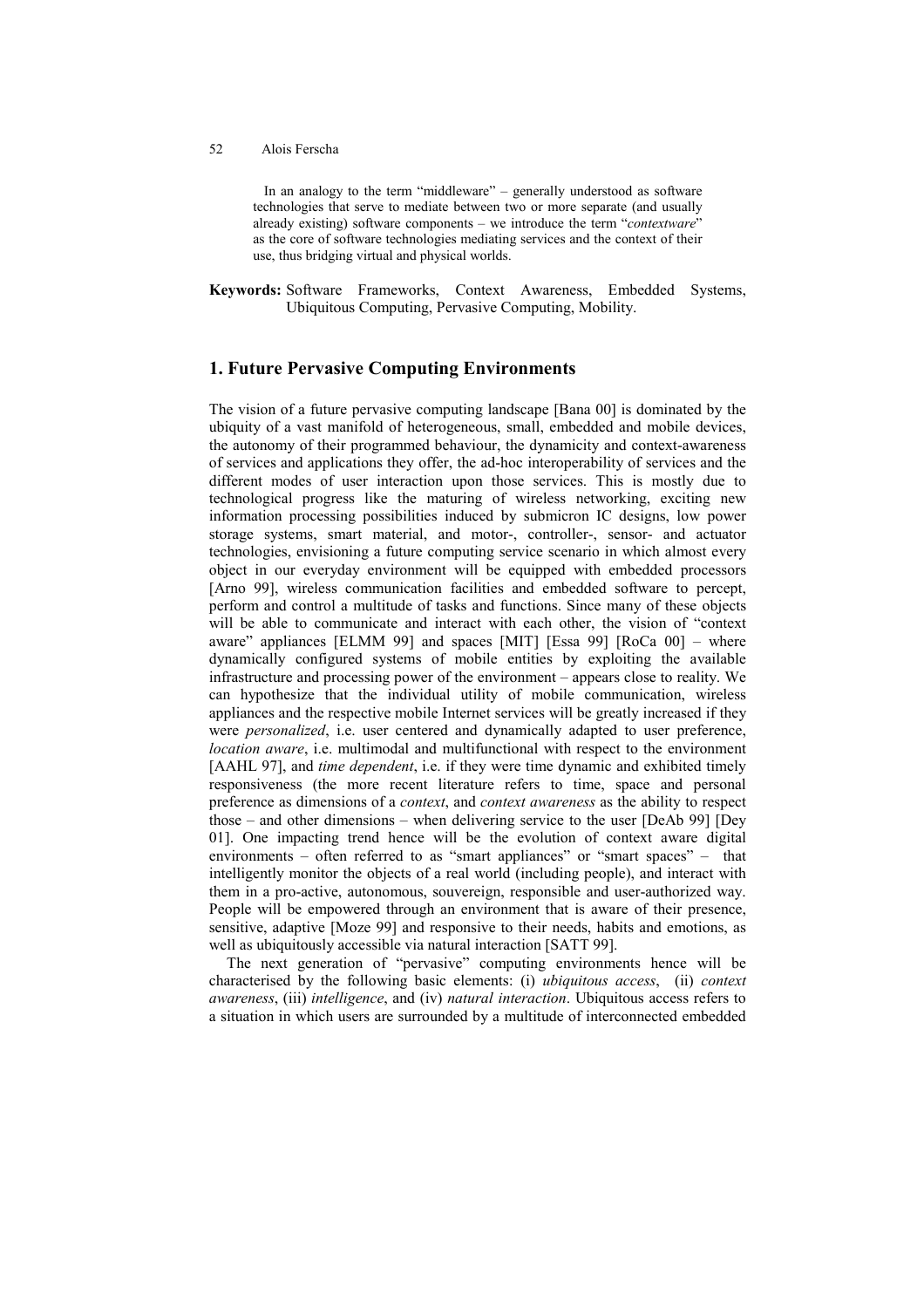In an analogy to the term "middleware"  $-$  generally understood as software technologies that serve to mediate between two or more separate (and usually already existing) software components – we introduce the term *<i>contextware*<sup>?</sup> as the core of software technologies mediating services and the context of their use, thus bridging virtual and physical worlds.

**Keywords:** Software Frameworks, Context Awareness, Embedded Systems, Ubiquitous Computing, Pervasive Computing, Mobility.

#### **1. Future Pervasive Computing Environments**

The vision of a future pervasive computing landscape [Bana 00] is dominated by the ubiquity of a vast manifold of heterogeneous, small, embedded and mobile devices, the autonomy of their programmed behaviour, the dynamicity and context-awareness of services and applications they offer, the ad-hoc interoperability of services and the different modes of user interaction upon those services. This is mostly due to technological progress like the maturing of wireless networking, exciting new information processing possibilities induced by submicron IC designs, low power storage systems, smart material, and motor-, controller-, sensor- and actuator technologies, envisioning a future computing service scenario in which almost every object in our everyday environment will be equipped with embedded processors [Arno 99], wireless communication facilities and embedded software to percept, perform and control a multitude of tasks and functions. Since many of these objects will be able to communicate and interact with each other, the vision of "context" aware" appliances [ELMM 99] and spaces [MIT] [Essa 99]  $[RoCa 00]$  – where dynamically configured systems of mobile entities by exploiting the available infrastructure and processing power of the environment  $-$  appears close to reality. We can hypothesize that the individual utility of mobile communication, wireless appliances and the respective mobile Internet services will be greatly increased if they were *personalized*, i.e. user centered and dynamically adapted to user preference, *location aware*, i.e. multimodal and multifunctional with respect to the environment [AAHL 97], and *time dependent*, i.e. if they were time dynamic and exhibited timely responsiveness (the more recent literature refers to time, space and personal preference as dimensions of a *context*, and *context awareness* as the ability to respect those  $-$  and other dimensions  $-$  when delivering service to the user [DeAb 99] [Dey 01]. One impacting trend hence will be the evolution of context aware digital environments  $-$  often referred to as "smart appliances" or "smart spaces"  $-$  that intelligently monitor the objects of a real world (including people), and interact with them in a pro-active, autonomous, souvereign, responsible and user-authorized way. People will be empowered through an environment that is aware of their presence, sensitive, adaptive [Moze 99] and responsive to their needs, habits and emotions, as well as ubiquitously accessible via natural interaction [SATT 99].

The next generation of "pervasive" computing environments hence will be characterised by the following basic elements: (i) *ubiquitous access*, (ii) *context awareness*, (iii) *intelligence*, and (iv) *natural interaction*. Ubiquitous access refers to a situation in which users are surrounded by a multitude of interconnected embedded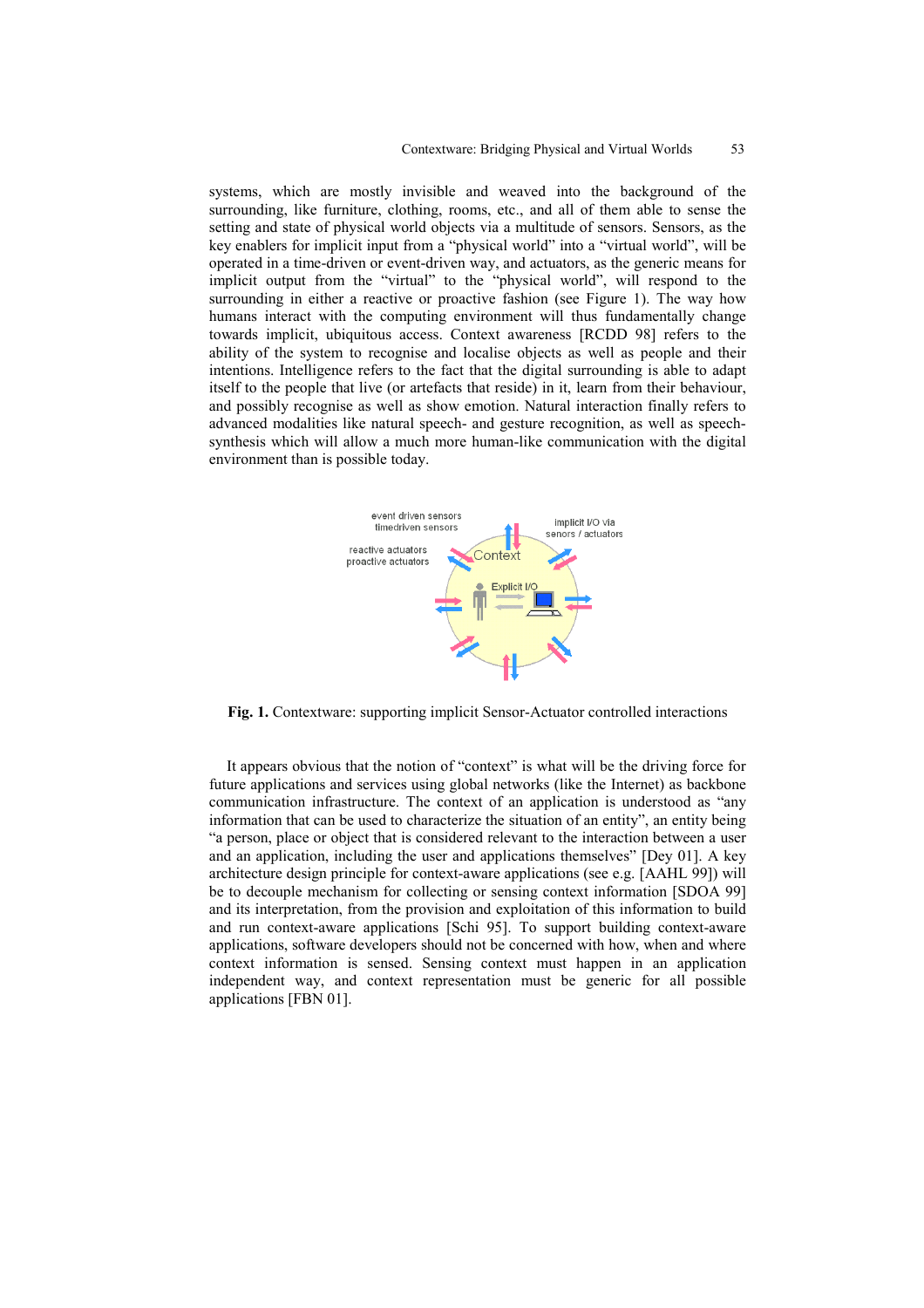systems, which are mostly invisible and weaved into the background of the surrounding, like furniture, clothing, rooms, etc., and all of them able to sense the setting and state of physical world objects via a multitude of sensors. Sensors, as the key enablers for implicit input from a "physical world" into a "virtual world", will be operated in a time-driven or event-driven way, and actuators, as the generic means for implicit output from the "virtual" to the "physical world", will respond to the surrounding in either a reactive or proactive fashion (see Figure 1). The way how humans interact with the computing environment will thus fundamentally change towards implicit, ubiquitous access. Context awareness [RCDD 98] refers to the ability of the system to recognise and localise objects as well as people and their intentions. Intelligence refers to the fact that the digital surrounding is able to adapt itself to the people that live (or artefacts that reside) in it, learn from their behaviour, and possibly recognise as well as show emotion. Natural interaction finally refers to advanced modalities like natural speech- and gesture recognition, as well as speechsynthesis which will allow a much more human-like communication with the digital environment than is possible today.



**Fig. 1.** Contextware: supporting implicit Sensor-Actuator controlled interactions

It appears obvious that the notion of "context" is what will be the driving force for future applications and services using global networks (like the Internet) as backbone communication infrastructure. The context of an application is understood as "any information that can be used to characterize the situation of an entity", an entity being ìa person, place or object that is considered relevant to the interaction between a user and an application, including the user and applications themselves"  $[Dev 01]$ . A key architecture design principle for context-aware applications (see e.g. [AAHL 99]) will be to decouple mechanism for collecting or sensing context information [SDOA 99] and its interpretation, from the provision and exploitation of this information to build and run context-aware applications [Schi 95]. To support building context-aware applications, software developers should not be concerned with how, when and where context information is sensed. Sensing context must happen in an application independent way, and context representation must be generic for all possible applications [FBN 01].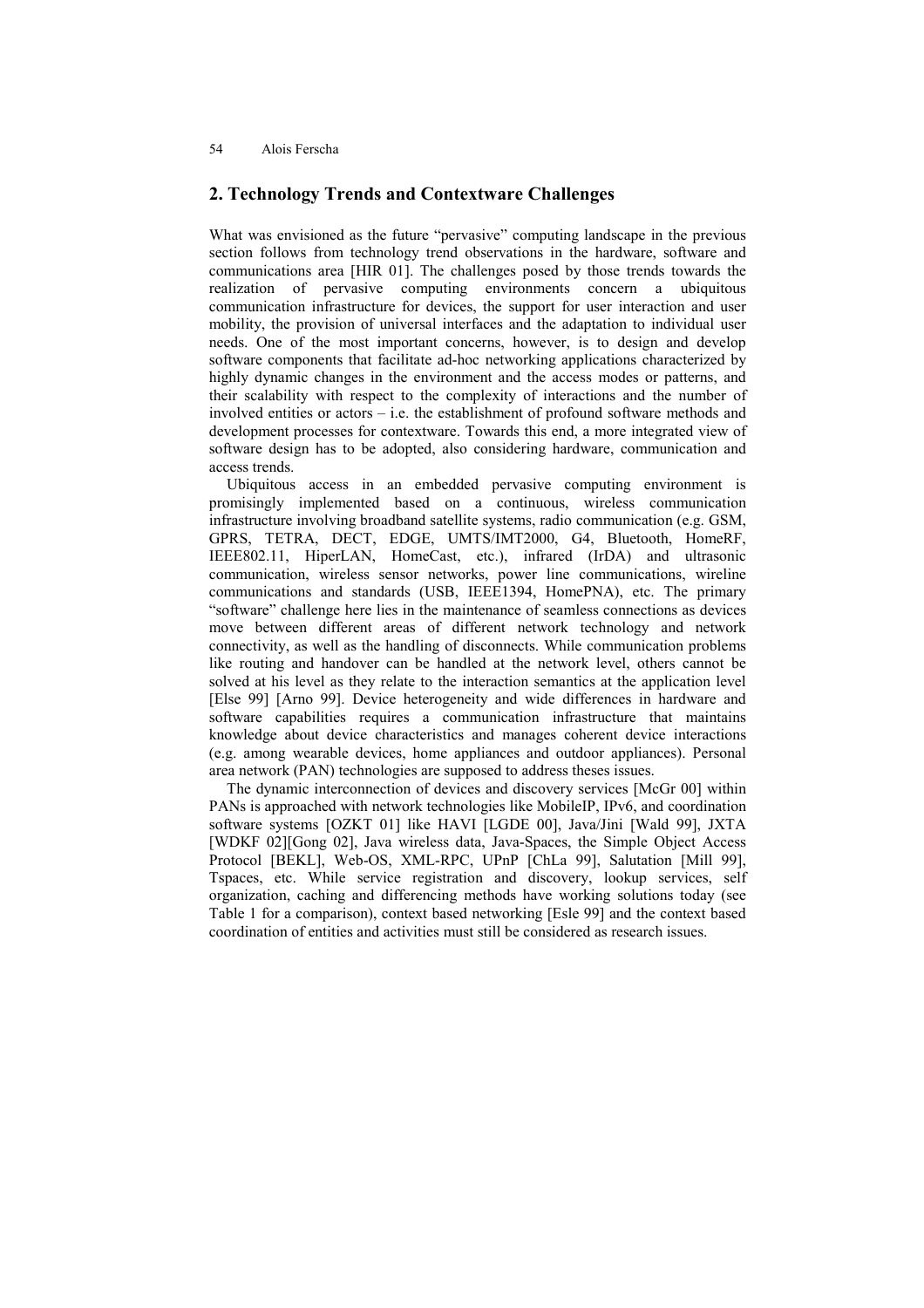## **2. Technology Trends and Contextware Challenges**

What was envisioned as the future "pervasive" computing landscape in the previous section follows from technology trend observations in the hardware, software and communications area [HIR 01]. The challenges posed by those trends towards the realization of pervasive computing environments concern a ubiquitous communication infrastructure for devices, the support for user interaction and user mobility, the provision of universal interfaces and the adaptation to individual user needs. One of the most important concerns, however, is to design and develop software components that facilitate ad-hoc networking applications characterized by highly dynamic changes in the environment and the access modes or patterns, and their scalability with respect to the complexity of interactions and the number of involved entities or actors  $-$  i.e. the establishment of profound software methods and development processes for contextware. Towards this end, a more integrated view of software design has to be adopted, also considering hardware, communication and access trends.

Ubiquitous access in an embedded pervasive computing environment is promisingly implemented based on a continuous, wireless communication infrastructure involving broadband satellite systems, radio communication (e.g. GSM, GPRS, TETRA, DECT, EDGE, UMTS/IMT2000, G4, Bluetooth, HomeRF, IEEE802.11, HiperLAN, HomeCast, etc.), infrared (IrDA) and ultrasonic communication, wireless sensor networks, power line communications, wireline communications and standards (USB, IEEE1394, HomePNA), etc. The primary "software" challenge here lies in the maintenance of seamless connections as devices move between different areas of different network technology and network connectivity, as well as the handling of disconnects. While communication problems like routing and handover can be handled at the network level, others cannot be solved at his level as they relate to the interaction semantics at the application level [Else 99] [Arno 99]. Device heterogeneity and wide differences in hardware and software capabilities requires a communication infrastructure that maintains knowledge about device characteristics and manages coherent device interactions (e.g. among wearable devices, home appliances and outdoor appliances). Personal area network (PAN) technologies are supposed to address theses issues.

The dynamic interconnection of devices and discovery services [McGr 00] within PANs is approached with network technologies like MobileIP, IPv6, and coordination software systems [OZKT 01] like HAVI [LGDE 00], Java/Jini [Wald 99], JXTA [WDKF 02][Gong 02], Java wireless data, Java-Spaces, the Simple Object Access Protocol [BEKL], Web-OS, XML-RPC, UPnP [ChLa 99], Salutation [Mill 99], Tspaces, etc. While service registration and discovery, lookup services, self organization, caching and differencing methods have working solutions today (see Table 1 for a comparison), context based networking [Esle 99] and the context based coordination of entities and activities must still be considered as research issues.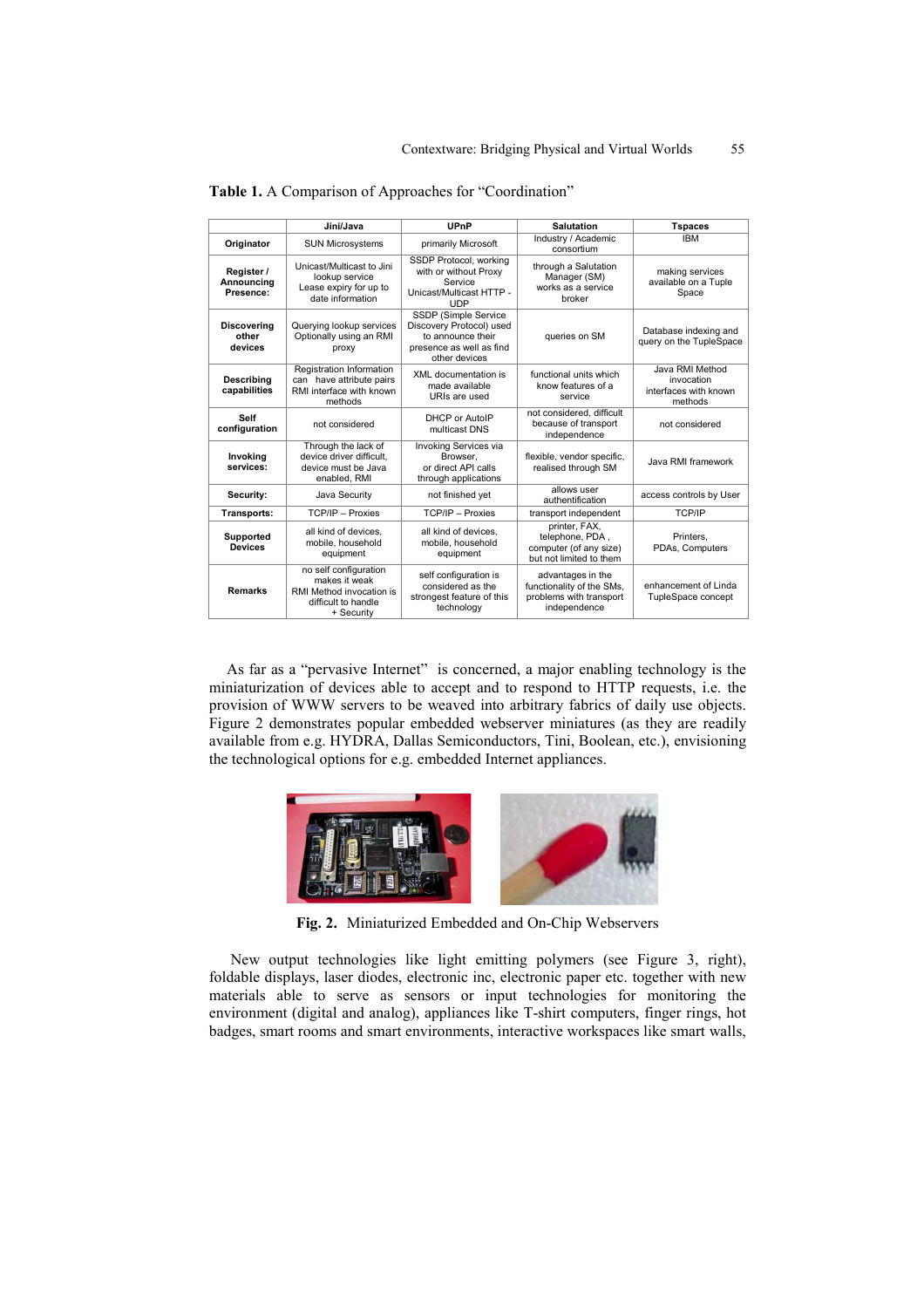|                                        | Jini/Java                                                                                               | <b>UPnP</b>                                                                                                        | Salutation                                                                                | <b>Tspaces</b>                                                    |
|----------------------------------------|---------------------------------------------------------------------------------------------------------|--------------------------------------------------------------------------------------------------------------------|-------------------------------------------------------------------------------------------|-------------------------------------------------------------------|
| Originator                             | <b>SUN Microsystems</b>                                                                                 | primarily Microsoft                                                                                                | Industry / Academic<br>consortium                                                         | <b>IBM</b>                                                        |
| Register /<br>Announcing<br>Presence:  | Unicast/Multicast to Jini<br>lookup service<br>Lease expiry for up to<br>date information               | SSDP Protocol, working<br>with or without Proxy<br>Service<br>Unicast/Multicast HTTP -<br><b>UDP</b>               | through a Salutation<br>Manager (SM)<br>works as a service<br>broker                      | making services<br>available on a Tuple<br>Space                  |
| <b>Discovering</b><br>other<br>devices | Querying lookup services<br>Optionally using an RMI<br>proxy                                            | SSDP (Simple Service<br>Discovery Protocol) used<br>to announce their<br>presence as well as find<br>other devices | queries on SM                                                                             | Database indexing and<br>query on the TupleSpace                  |
| <b>Describing</b><br>capabilities      | Registration Information<br>can have attribute pairs<br>RMI interface with known<br>methods             | XML documentation is<br>made available<br>URIs are used                                                            | functional units which<br>know features of a<br>service                                   | Java RMI Method<br>invocation<br>interfaces with known<br>methods |
| Self<br>configuration                  | not considered                                                                                          | DHCP or AutoIP<br>multicast DNS                                                                                    | not considered, difficult<br>because of transport<br>independence                         | not considered                                                    |
| Invoking<br>services:                  | Through the lack of<br>device driver difficult.<br>device must be Java<br>enabled, RMI                  | Invoking Services via<br>Browser.<br>or direct API calls<br>through applications                                   | flexible, vendor specific,<br>realised through SM                                         | Java RMI framework                                                |
| Security:                              | Java Security                                                                                           | not finished yet                                                                                                   | allows user<br>authentification                                                           | access controls by User                                           |
| <b>Transports:</b>                     | TCP/IP - Proxies                                                                                        | TCP/IP - Proxies                                                                                                   | transport independent                                                                     | <b>TCP/IP</b>                                                     |
| Supported<br><b>Devices</b>            | all kind of devices,<br>mobile, household<br>equipment                                                  | all kind of devices.<br>mobile, household<br>equipment                                                             | printer, FAX.<br>telephone, PDA,<br>computer (of any size)<br>but not limited to them     | Printers.<br>PDAs, Computers                                      |
| <b>Remarks</b>                         | no self configuration<br>makes it weak<br>RMI Method invocation is<br>difficult to handle<br>+ Security | self configuration is<br>considered as the<br>strongest feature of this<br>technology                              | advantages in the<br>functionality of the SMs,<br>problems with transport<br>independence | enhancement of Linda<br>TupleSpace concept                        |

Table 1. A Comparison of Approaches for "Coordination"

As far as a "pervasive Internet" is concerned, a major enabling technology is the miniaturization of devices able to accept and to respond to HTTP requests, i.e. the provision of WWW servers to be weaved into arbitrary fabrics of daily use objects. Figure 2 demonstrates popular embedded webserver miniatures (as they are readily available from e.g. HYDRA, Dallas Semiconductors, Tini, Boolean, etc.), envisioning the technological options for e.g. embedded Internet appliances.



**Fig. 2.** Miniaturized Embedded and On-Chip Webservers

 New output technologies like light emitting polymers (see Figure 3, right), foldable displays, laser diodes, electronic inc, electronic paper etc. together with new materials able to serve as sensors or input technologies for monitoring the environment (digital and analog), appliances like T-shirt computers, finger rings, hot badges, smart rooms and smart environments, interactive workspaces like smart walls,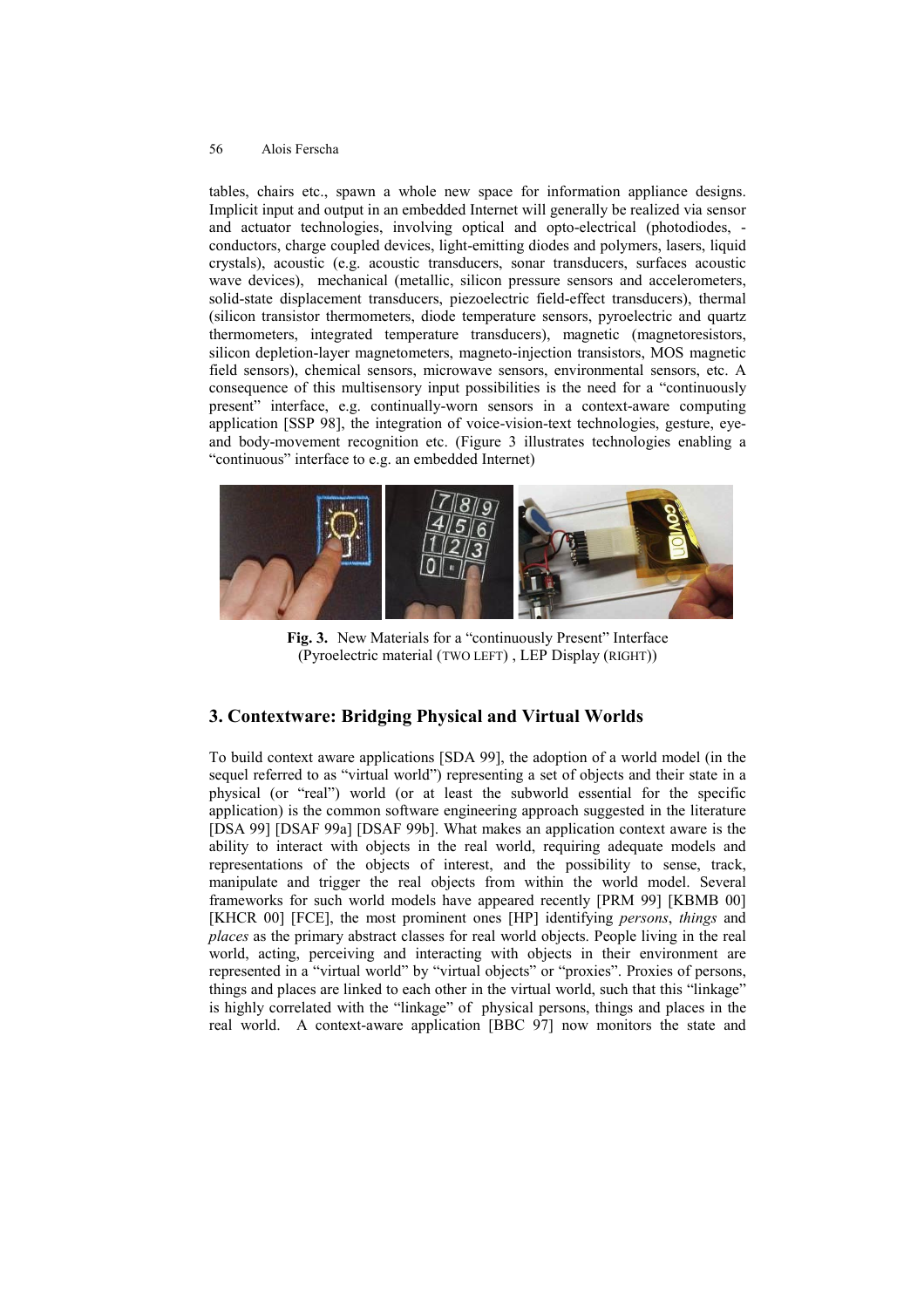tables, chairs etc., spawn a whole new space for information appliance designs. Implicit input and output in an embedded Internet will generally be realized via sensor and actuator technologies, involving optical and opto-electrical (photodiodes, conductors, charge coupled devices, light-emitting diodes and polymers, lasers, liquid crystals), acoustic (e.g. acoustic transducers, sonar transducers, surfaces acoustic wave devices), mechanical (metallic, silicon pressure sensors and accelerometers, solid-state displacement transducers, piezoelectric field-effect transducers), thermal (silicon transistor thermometers, diode temperature sensors, pyroelectric and quartz thermometers, integrated temperature transducers), magnetic (magnetoresistors, silicon depletion-layer magnetometers, magneto-injection transistors, MOS magnetic field sensors), chemical sensors, microwave sensors, environmental sensors, etc. A consequence of this multisensory input possibilities is the need for a "continuously present" interface, e.g. continually-worn sensors in a context-aware computing application [SSP 98], the integration of voice-vision-text technologies, gesture, eyeand body-movement recognition etc. (Figure 3 illustrates technologies enabling a "continuous" interface to e.g. an embedded Internet)



Fig. 3. New Materials for a "continuously Present" Interface (Pyroelectric material (TWO LEFT) , LEP Display (RIGHT))

# **3. Contextware: Bridging Physical and Virtual Worlds**

To build context aware applications [SDA 99], the adoption of a world model (in the sequel referred to as "virtual world") representing a set of objects and their state in a physical (or "real") world (or at least the subworld essential for the specific application) is the common software engineering approach suggested in the literature [DSA 99] [DSAF 99a] [DSAF 99b]. What makes an application context aware is the ability to interact with objects in the real world, requiring adequate models and representations of the objects of interest, and the possibility to sense, track, manipulate and trigger the real objects from within the world model. Several frameworks for such world models have appeared recently [PRM 99] [KBMB 00] [KHCR 00] [FCE], the most prominent ones [HP] identifying *persons*, *things* and *places* as the primary abstract classes for real world objects. People living in the real world, acting, perceiving and interacting with objects in their environment are represented in a "virtual world" by "virtual objects" or "proxies". Proxies of persons, things and places are linked to each other in the virtual world, such that this "linkage" is highly correlated with the "linkage" of physical persons, things and places in the real world. A context-aware application [BBC 97] now monitors the state and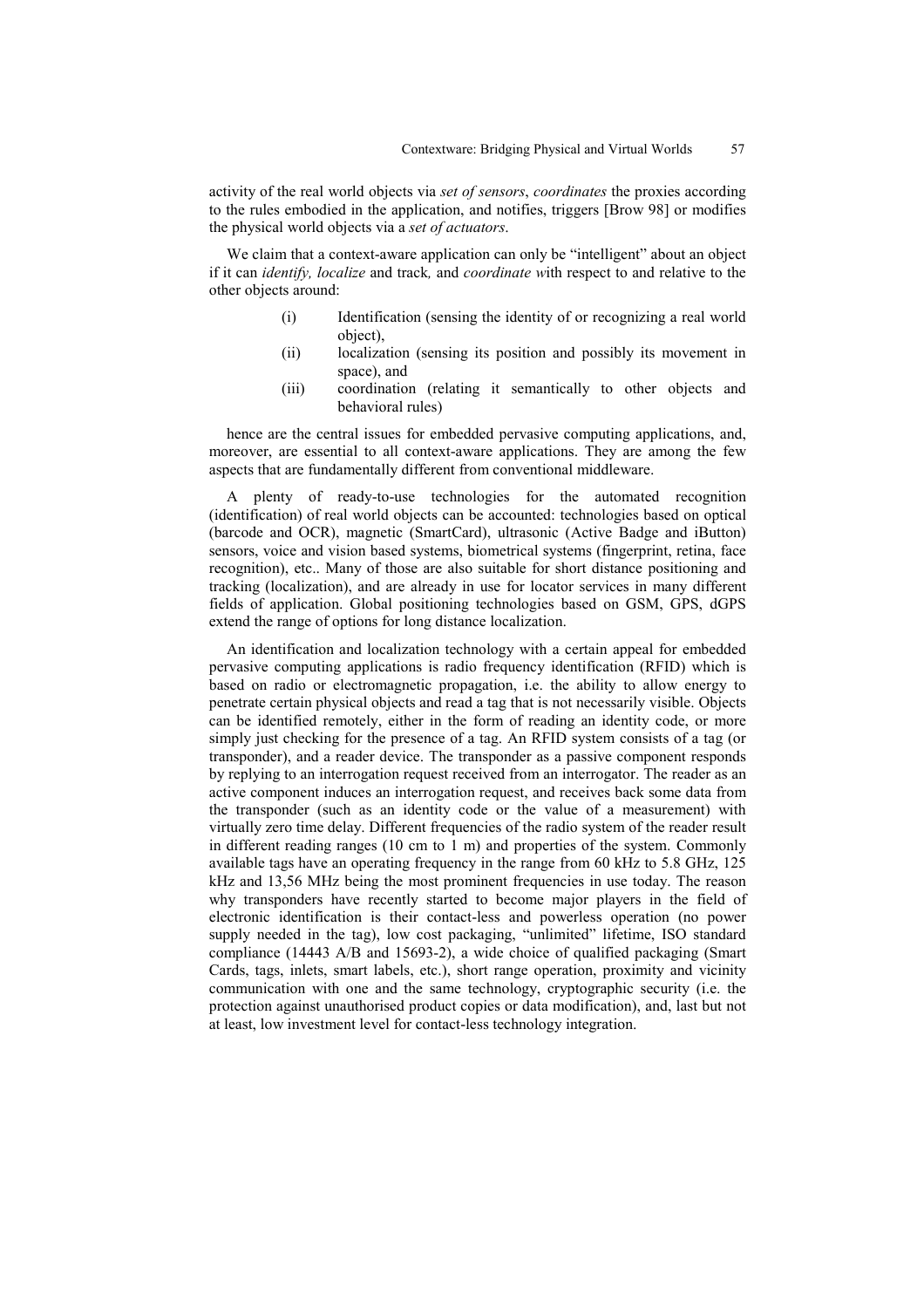activity of the real world objects via *set of sensors*, *coordinates* the proxies according to the rules embodied in the application, and notifies, triggers [Brow 98] or modifies the physical world objects via a *set of actuators*.

We claim that a context-aware application can only be "intelligent" about an object if it can *identify, localize* and track*,* and *coordinate w*ith respect to and relative to the other objects around:

- (i) Identification (sensing the identity of or recognizing a real world object),
- (ii) localization (sensing its position and possibly its movement in space), and
- (iii) coordination (relating it semantically to other objects and behavioral rules)

hence are the central issues for embedded pervasive computing applications, and, moreover, are essential to all context-aware applications. They are among the few aspects that are fundamentally different from conventional middleware.

A plenty of ready-to-use technologies for the automated recognition (identification) of real world objects can be accounted: technologies based on optical (barcode and OCR), magnetic (SmartCard), ultrasonic (Active Badge and iButton) sensors, voice and vision based systems, biometrical systems (fingerprint, retina, face recognition), etc.. Many of those are also suitable for short distance positioning and tracking (localization), and are already in use for locator services in many different fields of application. Global positioning technologies based on GSM, GPS, dGPS extend the range of options for long distance localization.

An identification and localization technology with a certain appeal for embedded pervasive computing applications is radio frequency identification (RFID) which is based on radio or electromagnetic propagation, i.e. the ability to allow energy to penetrate certain physical objects and read a tag that is not necessarily visible. Objects can be identified remotely, either in the form of reading an identity code, or more simply just checking for the presence of a tag. An RFID system consists of a tag (or transponder), and a reader device. The transponder as a passive component responds by replying to an interrogation request received from an interrogator. The reader as an active component induces an interrogation request, and receives back some data from the transponder (such as an identity code or the value of a measurement) with virtually zero time delay. Different frequencies of the radio system of the reader result in different reading ranges (10 cm to 1 m) and properties of the system. Commonly available tags have an operating frequency in the range from 60 kHz to 5.8 GHz, 125 kHz and 13,56 MHz being the most prominent frequencies in use today. The reason why transponders have recently started to become major players in the field of electronic identification is their contact-less and powerless operation (no power supply needed in the tag), low cost packaging, "unlimited" lifetime, ISO standard compliance (14443 A/B and 15693-2), a wide choice of qualified packaging (Smart Cards, tags, inlets, smart labels, etc.), short range operation, proximity and vicinity communication with one and the same technology, cryptographic security (i.e. the protection against unauthorised product copies or data modification), and, last but not at least, low investment level for contact-less technology integration.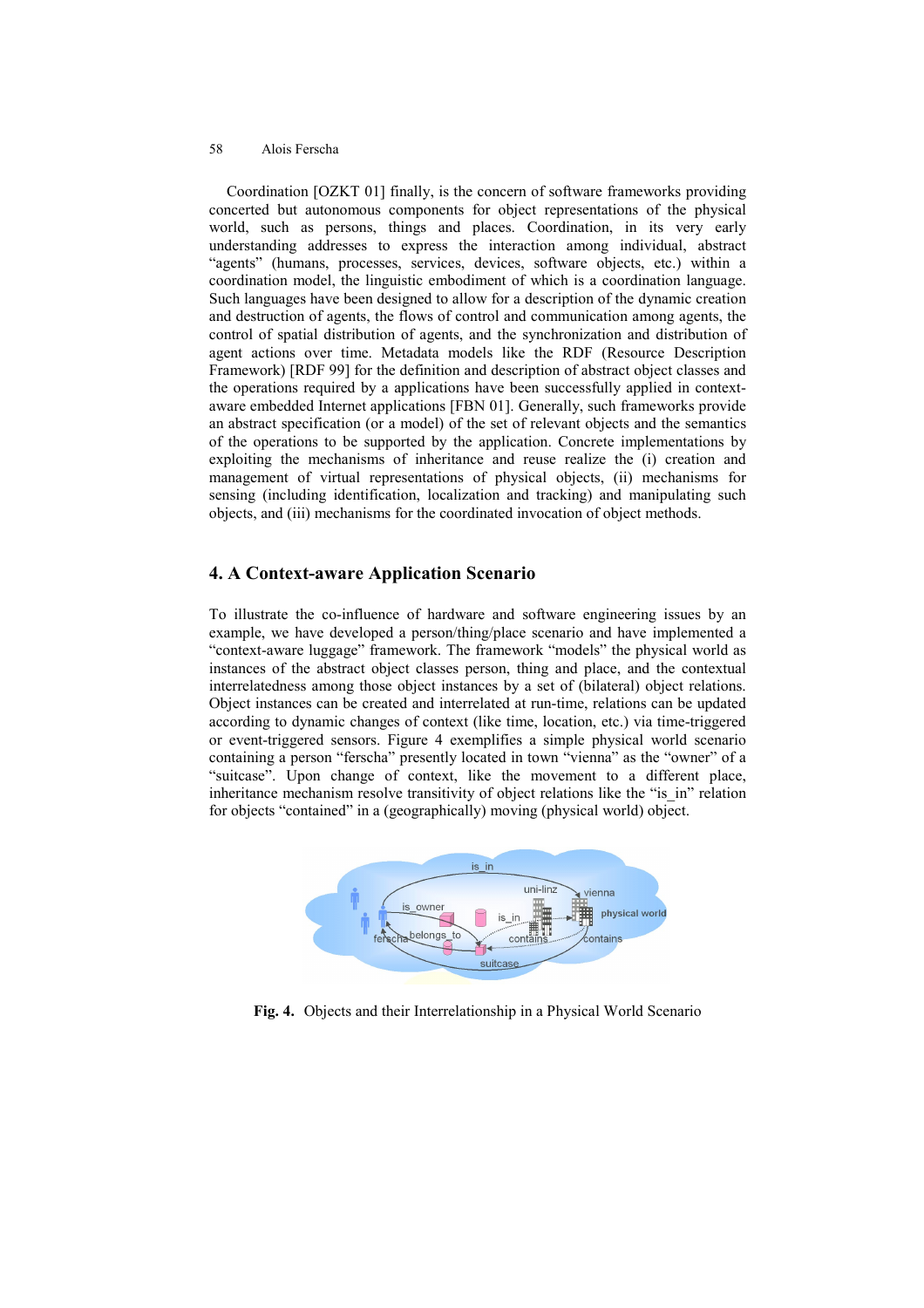Coordination [OZKT 01] finally, is the concern of software frameworks providing concerted but autonomous components for object representations of the physical world, such as persons, things and places. Coordination, in its very early understanding addresses to express the interaction among individual, abstract "agents" (humans, processes, services, devices, software objects, etc.) within a coordination model, the linguistic embodiment of which is a coordination language. Such languages have been designed to allow for a description of the dynamic creation and destruction of agents, the flows of control and communication among agents, the control of spatial distribution of agents, and the synchronization and distribution of agent actions over time. Metadata models like the RDF (Resource Description Framework) [RDF 99] for the definition and description of abstract object classes and the operations required by a applications have been successfully applied in contextaware embedded Internet applications [FBN 01]. Generally, such frameworks provide an abstract specification (or a model) of the set of relevant objects and the semantics of the operations to be supported by the application. Concrete implementations by exploiting the mechanisms of inheritance and reuse realize the (i) creation and management of virtual representations of physical objects, (ii) mechanisms for sensing (including identification, localization and tracking) and manipulating such objects, and (iii) mechanisms for the coordinated invocation of object methods.

## **4. A Context-aware Application Scenario**

To illustrate the co-influence of hardware and software engineering issues by an example, we have developed a person/thing/place scenario and have implemented a "context-aware luggage" framework. The framework "models" the physical world as instances of the abstract object classes person, thing and place, and the contextual interrelatedness among those object instances by a set of (bilateral) object relations. Object instances can be created and interrelated at run-time, relations can be updated according to dynamic changes of context (like time, location, etc.) via time-triggered or event-triggered sensors. Figure 4 exemplifies a simple physical world scenario containing a person "ferscha" presently located in town "vienna" as the "owner" of a "suitcase". Upon change of context, like the movement to a different place, inheritance mechanism resolve transitivity of object relations like the "is in" relation for objects "contained" in a (geographically) moving (physical world) object.



**Fig. 4.** Objects and their Interrelationship in a Physical World Scenario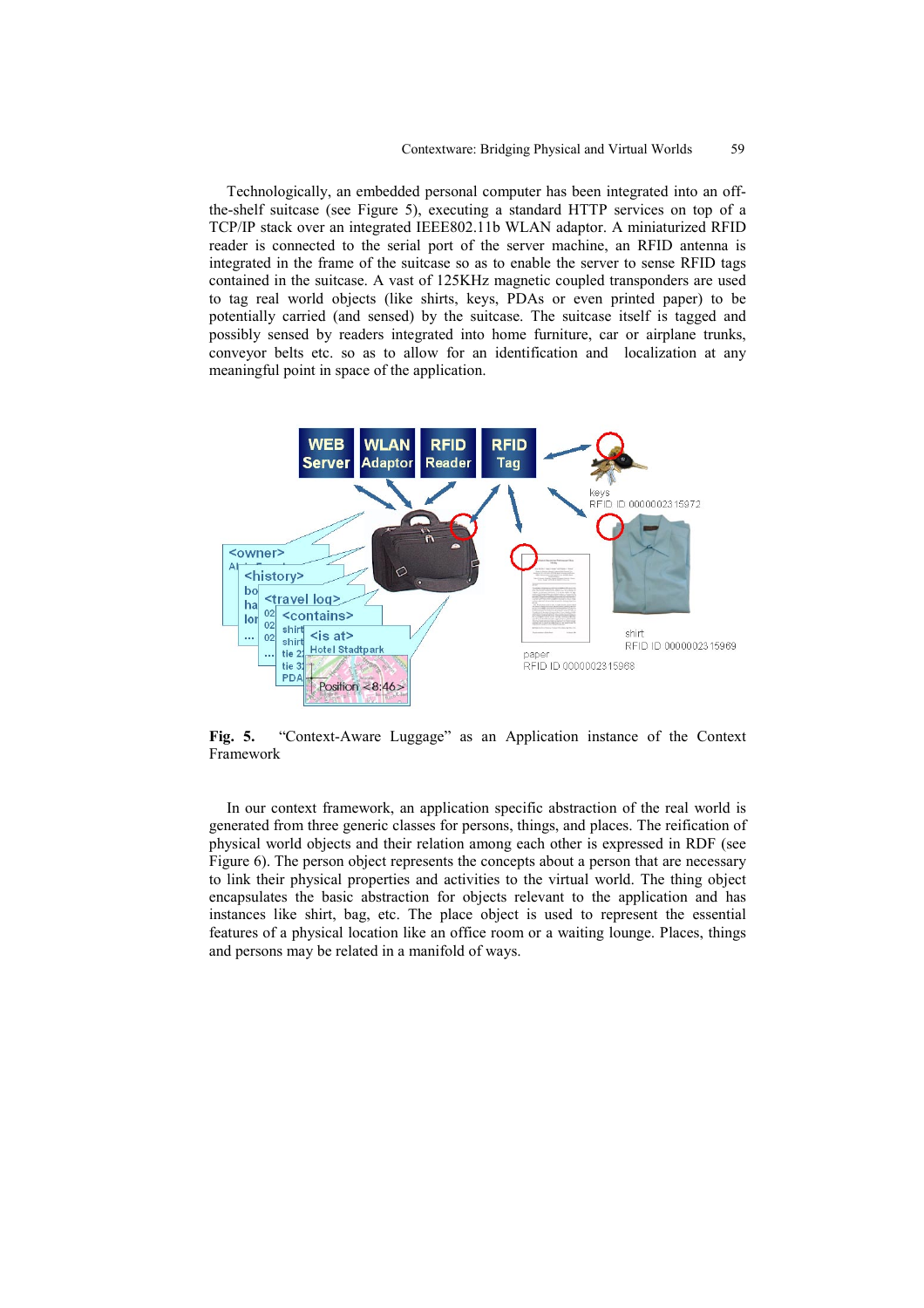Technologically, an embedded personal computer has been integrated into an offthe-shelf suitcase (see Figure 5), executing a standard HTTP services on top of a TCP/IP stack over an integrated IEEE802.11b WLAN adaptor. A miniaturized RFID reader is connected to the serial port of the server machine, an RFID antenna is integrated in the frame of the suitcase so as to enable the server to sense RFID tags contained in the suitcase. A vast of 125KHz magnetic coupled transponders are used to tag real world objects (like shirts, keys, PDAs or even printed paper) to be potentially carried (and sensed) by the suitcase. The suitcase itself is tagged and possibly sensed by readers integrated into home furniture, car or airplane trunks, conveyor belts etc. so as to allow for an identification and localization at any meaningful point in space of the application.



Fig. 5. **Context-Aware Luggage** as an Application instance of the Context Framework

In our context framework, an application specific abstraction of the real world is generated from three generic classes for persons, things, and places. The reification of physical world objects and their relation among each other is expressed in RDF (see Figure 6). The person object represents the concepts about a person that are necessary to link their physical properties and activities to the virtual world. The thing object encapsulates the basic abstraction for objects relevant to the application and has instances like shirt, bag, etc. The place object is used to represent the essential features of a physical location like an office room or a waiting lounge. Places, things and persons may be related in a manifold of ways.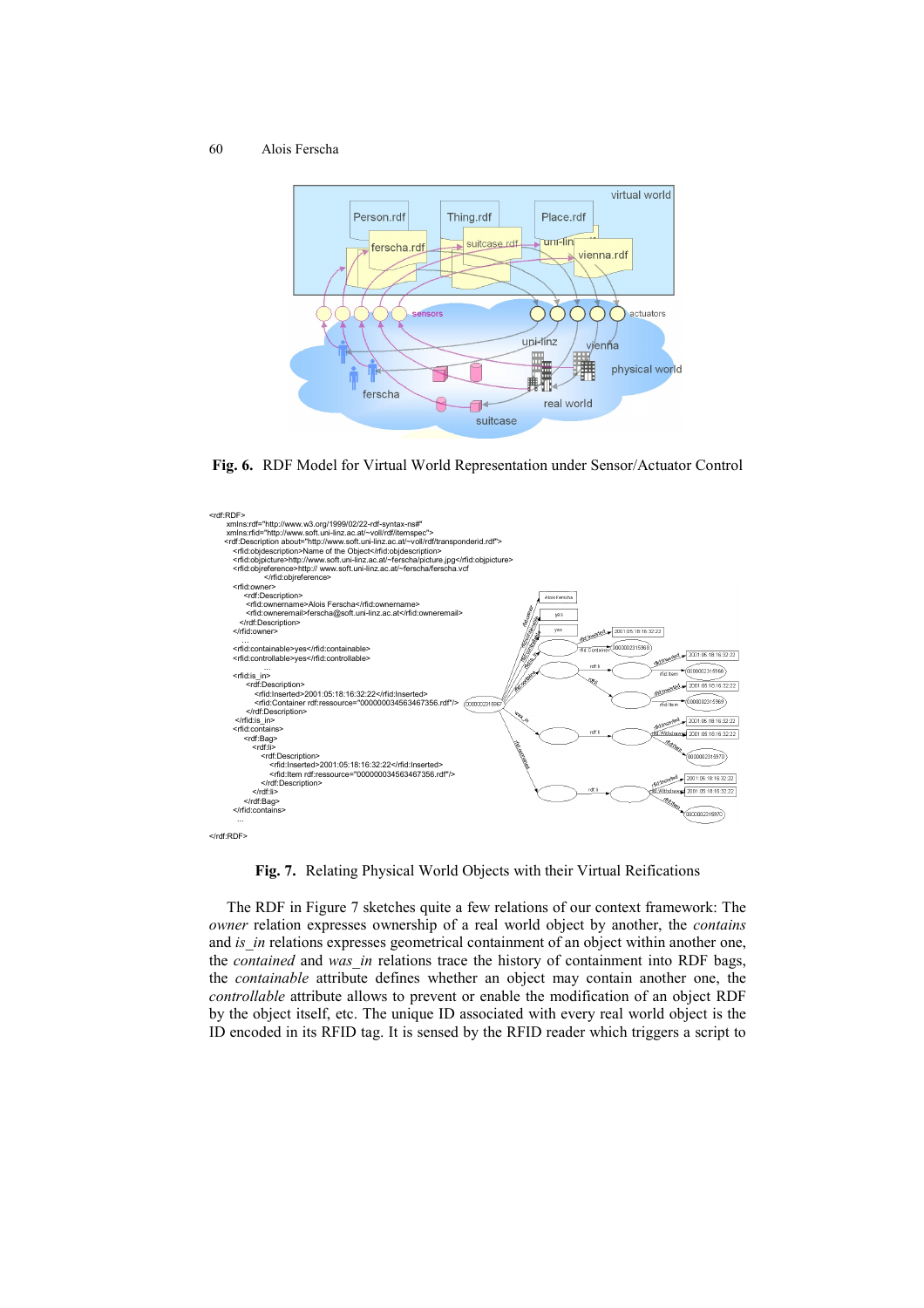

#### **Fig. 6.** RDF Model for Virtual World Representation under Sensor/Actuator Control



**Fig. 7.** Relating Physical World Objects with their Virtual Reifications

The RDF in Figure 7 sketches quite a few relations of our context framework: The *owner* relation expresses ownership of a real world object by another, the *contains* and *is in* relations expresses geometrical containment of an object within another one, the *contained* and *was\_in* relations trace the history of containment into RDF bags, the *containable* attribute defines whether an object may contain another one, the *controllable* attribute allows to prevent or enable the modification of an object RDF by the object itself, etc. The unique ID associated with every real world object is the ID encoded in its RFID tag. It is sensed by the RFID reader which triggers a script to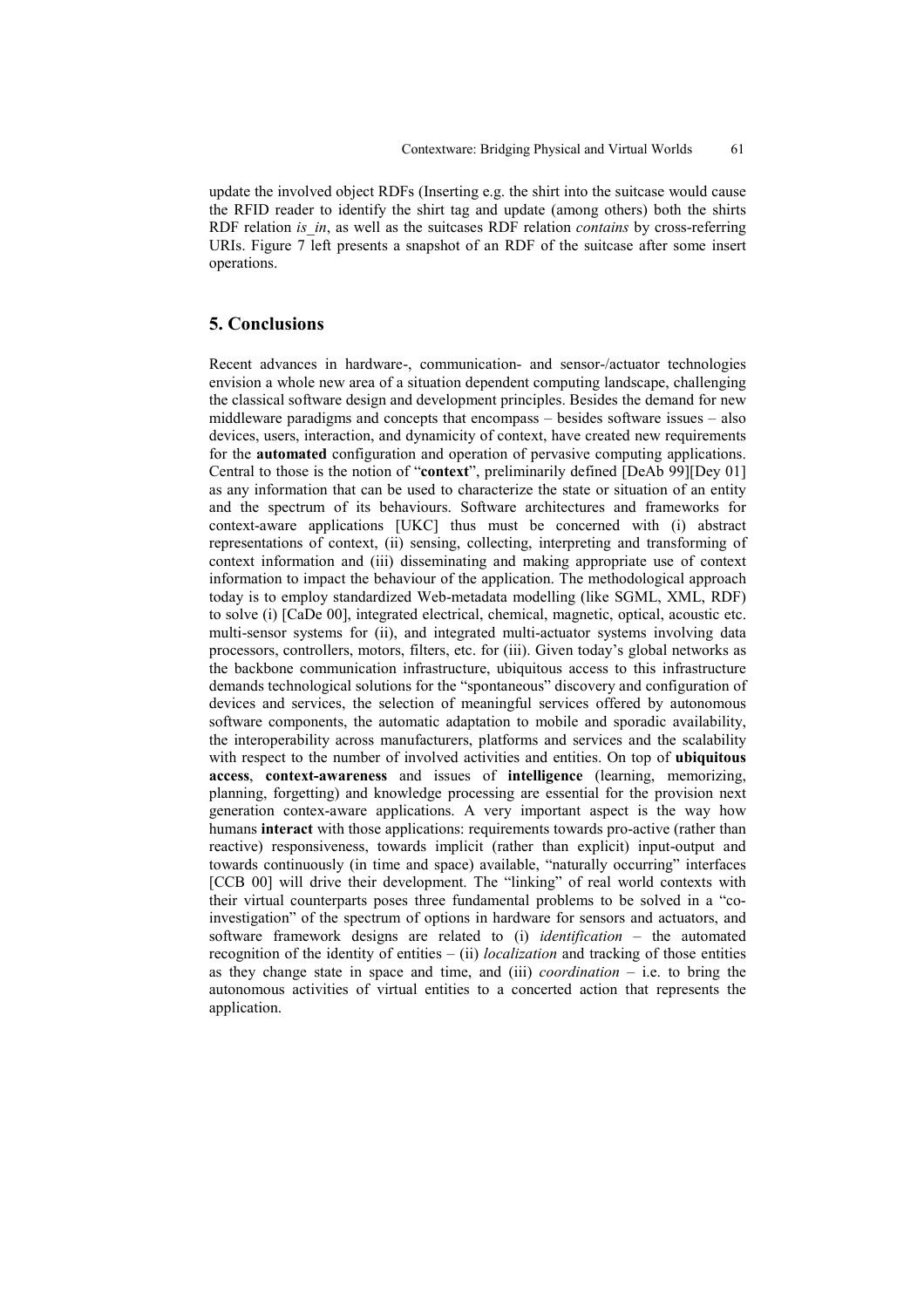update the involved object RDFs (Inserting e.g. the shirt into the suitcase would cause the RFID reader to identify the shirt tag and update (among others) both the shirts RDF relation *is\_in*, as well as the suitcases RDF relation *contains* by cross-referring URIs. Figure 7 left presents a snapshot of an RDF of the suitcase after some insert operations.

#### **5. Conclusions**

Recent advances in hardware-, communication- and sensor-/actuator technologies envision a whole new area of a situation dependent computing landscape, challenging the classical software design and development principles. Besides the demand for new middleware paradigms and concepts that encompass  $-$  besides software issues  $-$  also devices, users, interaction, and dynamicity of context, have created new requirements for the **automated** configuration and operation of pervasive computing applications. Central to those is the notion of "context", preliminarily defined [DeAb 99][Dey 01] as any information that can be used to characterize the state or situation of an entity and the spectrum of its behaviours. Software architectures and frameworks for context-aware applications [UKC] thus must be concerned with (i) abstract representations of context, (ii) sensing, collecting, interpreting and transforming of context information and (iii) disseminating and making appropriate use of context information to impact the behaviour of the application. The methodological approach today is to employ standardized Web-metadata modelling (like SGML, XML, RDF) to solve (i) [CaDe 00], integrated electrical, chemical, magnetic, optical, acoustic etc. multi-sensor systems for (ii), and integrated multi-actuator systems involving data processors, controllers, motors, filters, etc. for (iii). Given today's global networks as the backbone communication infrastructure, ubiquitous access to this infrastructure demands technological solutions for the "spontaneous" discovery and configuration of devices and services, the selection of meaningful services offered by autonomous software components, the automatic adaptation to mobile and sporadic availability, the interoperability across manufacturers, platforms and services and the scalability with respect to the number of involved activities and entities. On top of **ubiquitous access**, **context-awareness** and issues of **intelligence** (learning, memorizing, planning, forgetting) and knowledge processing are essential for the provision next generation contex-aware applications. A very important aspect is the way how humans **interact** with those applications: requirements towards pro-active (rather than reactive) responsiveness, towards implicit (rather than explicit) input-output and towards continuously (in time and space) available, "naturally occurring" interfaces [CCB 00] will drive their development. The "linking" of real world contexts with their virtual counterparts poses three fundamental problems to be solved in a "coinvestigationî of the spectrum of options in hardware for sensors and actuators, and software framework designs are related to  $(i)$  *identification* – the automated recognition of the identity of entities  $-$  (ii) *localization* and tracking of those entities as they change state in space and time, and (iii) *coordination*  $-$  i.e. to bring the autonomous activities of virtual entities to a concerted action that represents the application.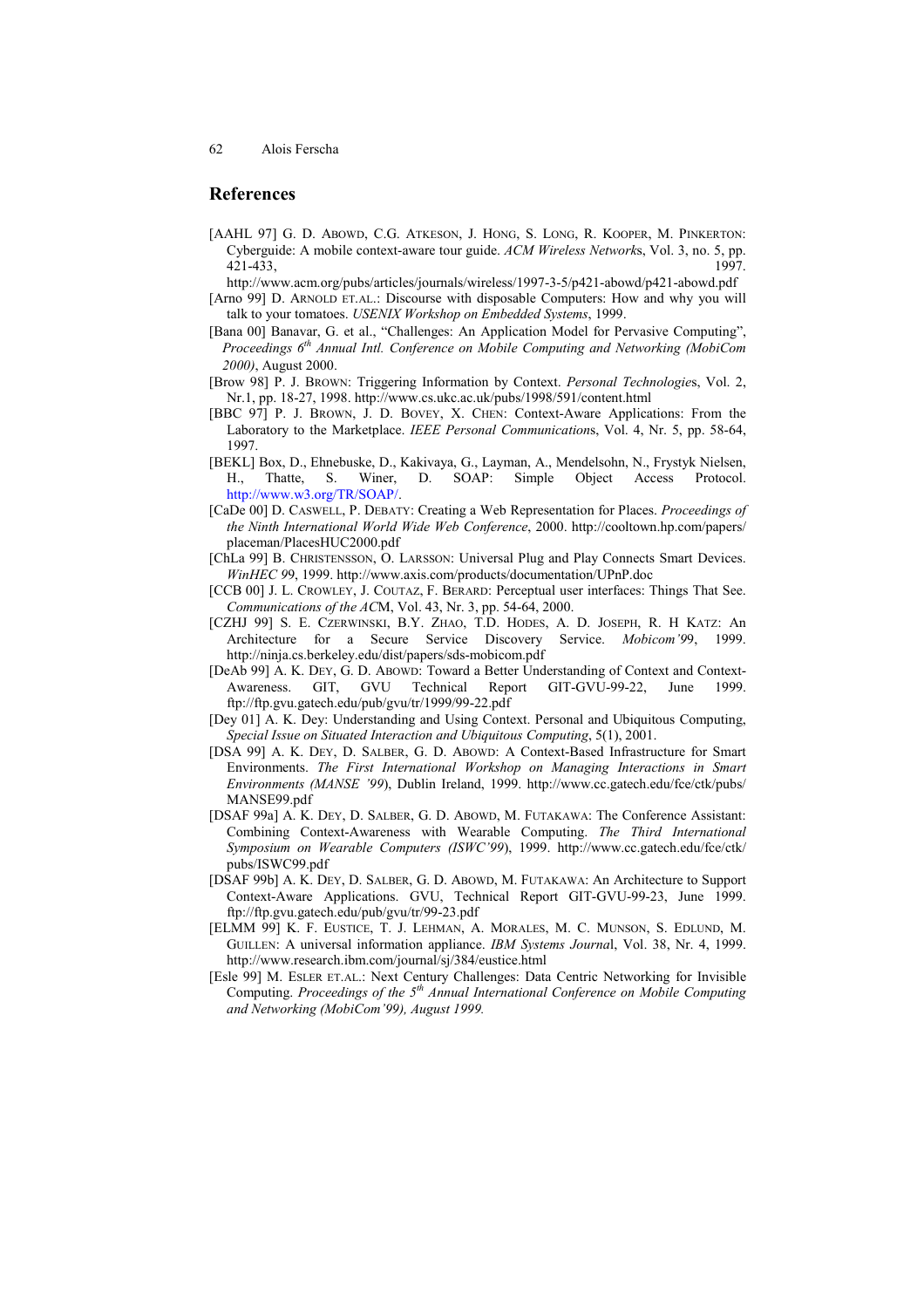## **References**

[AAHL 97] G. D. ABOWD, C.G. ATKESON, J. HONG, S. LONG, R. KOOPER, M. PINKERTON: Cyberguide: A mobile context-aware tour guide. *ACM Wireless Network*s, Vol. 3, no. 5, pp. 421-433, 1997.

http://www.acm.org/pubs/articles/journals/wireless/1997-3-5/p421-abowd/p421-abowd.pdf

- [Arno 99] D. ARNOLD ET.AL.: Discourse with disposable Computers: How and why you will talk to your tomatoes. *USENIX Workshop on Embedded Systems*, 1999.
- [Bana 00] Banavar, G. et al., "Challenges: An Application Model for Pervasive Computing", *Proceedings 6th Annual Intl. Conference on Mobile Computing and Networking (MobiCom 2000)*, August 2000.
- [Brow 98] P. J. BROWN: Triggering Information by Context. *Personal Technologie*s, Vol. 2, Nr.1, pp. 18-27, 1998. http://www.cs.ukc.ac.uk/pubs/1998/591/content.html
- [BBC 97] P. J. BROWN, J. D. BOVEY, X. CHEN: Context-Aware Applications: From the Laboratory to the Marketplace. *IEEE Personal Communication*s, Vol. 4, Nr. 5, pp. 58-64, 1997.
- [BEKL] Box, D., Ehnebuske, D., Kakivaya, G., Layman, A., Mendelsohn, N., Frystyk Nielsen, H., Thatte, S. Winer, D. SOAP: Simple Object Access Protocol. http://www.w3.org/TR/SOAP/.
- [CaDe 00] D. CASWELL, P. DEBATY: Creating a Web Representation for Places. *Proceedings of the Ninth International World Wide Web Conference*, 2000. http://cooltown.hp.com/papers/ placeman/PlacesHUC2000.pdf
- [ChLa 99] B. CHRISTENSSON, O. LARSSON: Universal Plug and Play Connects Smart Devices. *WinHEC 9*9, 1999. http://www.axis.com/products/documentation/UPnP.doc
- [CCB 00] J. L. CROWLEY, J. COUTAZ, F. BERARD: Perceptual user interfaces: Things That See. *Communications of the AC*M, Vol. 43, Nr. 3, pp. 54-64, 2000.
- [CZHJ 99] S. E. CZERWINSKI, B.Y. ZHAO, T.D. HODES, A. D. JOSEPH, R. H KATZ: An Architecture for a Secure Service Discovery Service. *Mobicomí9*9, 1999. http://ninja.cs.berkeley.edu/dist/papers/sds-mobicom.pdf
- [DeAb 99] A. K. DEY, G. D. ABOWD: Toward a Better Understanding of Context and Context-Awareness. GIT, GVU Technical Report GIT-GVU-99-22, June 1999. ftp://ftp.gvu.gatech.edu/pub/gvu/tr/1999/99-22.pdf
- [Dey 01] A. K. Dey: Understanding and Using Context. Personal and Ubiquitous Computing, *Special Issue on Situated Interaction and Ubiquitous Computing*, 5(1), 2001.
- [DSA 99] A. K. DEY, D. SALBER, G. D. ABOWD: A Context-Based Infrastructure for Smart Environments. *The First International Workshop on Managing Interactions in Smart Environments (MANSE '99*), Dublin Ireland, 1999. http://www.cc.gatech.edu/fce/ctk/pubs/ MANSE99.pdf
- [DSAF 99a] A. K. DEY, D. SALBER, G. D. ABOWD, M. FUTAKAWA: The Conference Assistant: Combining Context-Awareness with Wearable Computing. *The Third International Symposium on Wearable Computers (ISWCí99*), 1999. http://www.cc.gatech.edu/fce/ctk/ pubs/ISWC99.pdf
- [DSAF 99b] A. K. DEY, D. SALBER, G. D. ABOWD, M. FUTAKAWA: An Architecture to Support Context-Aware Applications. GVU, Technical Report GIT-GVU-99-23, June 1999. ftp://ftp.gvu.gatech.edu/pub/gvu/tr/99-23.pdf
- [ELMM 99] K. F. EUSTICE, T. J. LEHMAN, A. MORALES, M. C. MUNSON, S. EDLUND, M. GUILLEN: A universal information appliance. *IBM Systems Journa*l, Vol. 38, Nr. 4, 1999. http://www.research.ibm.com/journal/sj/384/eustice.html
- [Esle 99] M. ESLER ET.AL.: Next Century Challenges: Data Centric Networking for Invisible Computing. *Proceedings of the 5th Annual International Conference on Mobile Computing and Networking (MobiComí99), August 1999.*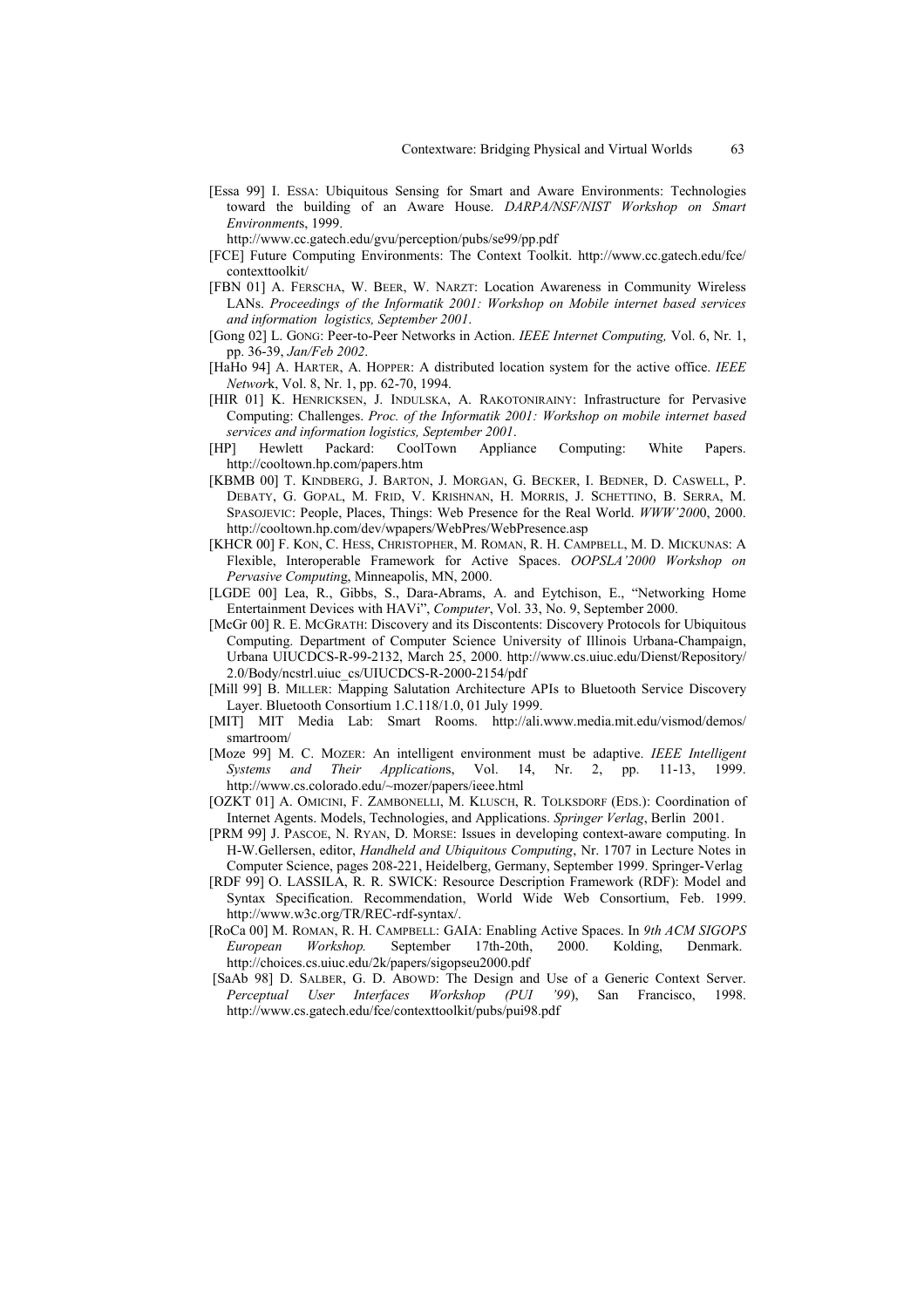[Essa 99] I. ESSA: Ubiquitous Sensing for Smart and Aware Environments: Technologies toward the building of an Aware House. *DARPA/NSF/NIST Workshop on Smart Environment*s, 1999.

http://www.cc.gatech.edu/gvu/perception/pubs/se99/pp.pdf

- [FCE] Future Computing Environments: The Context Toolkit. http://www.cc.gatech.edu/fce/ contexttoolkit/
- [FBN 01] A. FERSCHA, W. BEER, W. NARZT: Location Awareness in Community Wireless LANs. *Proceedings of the Informatik 2001: Workshop on Mobile internet based services and information logistics, September 2001*.
- [Gong 02] L. GONG: Peer-to-Peer Networks in Action. *IEEE Internet Computing,* Vol. 6, Nr. 1, pp. 36-39, *Jan/Feb 2002*.
- [HaHo 94] A. HARTER, A. HOPPER: A distributed location system for the active office. *IEEE Networ*k, Vol. 8, Nr. 1, pp. 62-70, 1994.
- [HIR 01] K. HENRICKSEN, J. INDULSKA, A. RAKOTONIRAINY: Infrastructure for Pervasive Computing: Challenges. *Proc. of the Informatik 2001: Workshop on mobile internet based services and information logistics, September 2001*.
- [HP] Hewlett Packard: CoolTown Appliance Computing: White Papers. http://cooltown.hp.com/papers.htm
- [KBMB 00] T. KINDBERG, J. BARTON, J. MORGAN, G. BECKER, I. BEDNER, D. CASWELL, P. DEBATY, G. GOPAL, M. FRID, V. KRISHNAN, H. MORRIS, J. SCHETTINO, B. SERRA, M. SPASOJEVIC: People, Places, Things: Web Presence for the Real World. *WWWí200*0, 2000. http://cooltown.hp.com/dev/wpapers/WebPres/WebPresence.asp
- [KHCR 00] F. KON, C. HESS, CHRISTOPHER, M. ROMAN, R. H. CAMPBELL, M. D. MICKUNAS: A Flexible, Interoperable Framework for Active Spaces. *OOPSLAí2000 Workshop on Pervasive Computin*g, Minneapolis, MN, 2000.
- [LGDE 00] Lea, R., Gibbs, S., Dara-Abrams, A. and Eytchison, E., "Networking Home Entertainment Devices with HAViî, *Computer*, Vol. 33, No. 9, September 2000.
- [McGr 00] R. E. MCGRATH: Discovery and its Discontents: Discovery Protocols for Ubiquitous Computing. Department of Computer Science University of Illinois Urbana-Champaign, Urbana UIUCDCS-R-99-2132, March 25, 2000. http://www.cs.uiuc.edu/Dienst/Repository/ 2.0/Body/ncstrl.uiuc\_cs/UIUCDCS-R-2000-2154/pdf
- [Mill 99] B. MILLER: Mapping Salutation Architecture APIs to Bluetooth Service Discovery Layer. Bluetooth Consortium 1.C.118/1.0, 01 July 1999.
- [MIT] MIT Media Lab: Smart Rooms. http://ali.www.media.mit.edu/vismod/demos/ smartroom/
- [Moze 99] M. C. MOZER: An intelligent environment must be adaptive. *IEEE Intelligent Systems and Their Application*s, Vol. 14, Nr. 2, pp. 11-13, 1999. http://www.cs.colorado.edu/~mozer/papers/ieee.html
- [OZKT 01] A. OMICINI, F. ZAMBONELLI, M. KLUSCH, R. TOLKSDORF (EDS.): Coordination of Internet Agents. Models, Technologies, and Applications. *Springer Verlag*, Berlin 2001.
- [PRM 99] J. PASCOE, N. RYAN, D. MORSE: Issues in developing context-aware computing. In H-W.Gellersen, editor, *Handheld and Ubiquitous Computing*, Nr. 1707 in Lecture Notes in Computer Science, pages 208-221, Heidelberg, Germany, September 1999. Springer-Verlag
- [RDF 99] O. LASSILA, R. R. SWICK: Resource Description Framework (RDF): Model and Syntax Specification. Recommendation, World Wide Web Consortium, Feb. 1999. http://www.w3c.org/TR/REC-rdf-syntax/.
- [RoCa 00] M. ROMAN, R. H. CAMPBELL: GAIA: Enabling Active Spaces. In *9th ACM SIGOPS European Workshop.* September 17th-20th, 2000. Kolding, Denmark. http://choices.cs.uiuc.edu/2k/papers/sigopseu2000.pdf
- [SaAb 98] D. SALBER, G. D. ABOWD: The Design and Use of a Generic Context Server. *Perceptual User Interfaces Workshop (PUI í99*), San Francisco, 1998. http://www.cs.gatech.edu/fce/contexttoolkit/pubs/pui98.pdf